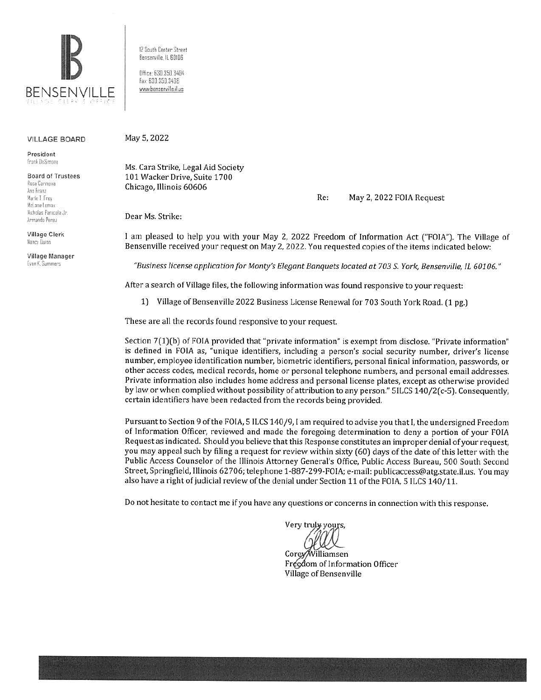

12 South Center Street Bensenville, IL 60106

Office: 630.350.3404 Fax: 630, 350, 3438 www.bensenville.il.us

#### **VILLAGE BOARD**

President Frank DeSimone

**Board of Trustees** Rosa Carmona Ann Franz Marie T. Frey McLane Lomax Nicholas Panicola Jr. Armando Perez

**Village Clerk** Nancy Duino

Village Manager Evan K. Summers

May 5, 2022

Ms. Cara Strike, Legal Aid Society 101 Wacker Drive, Suite 1700 Chicago, Illinois 60606

> Re: May 2, 2022 FOIA Request

Dear Ms. Strike:

I am pleased to help you with your May 2, 2022 Freedom of Information Act ("FOIA"). The Village of Bensenville received your request on May 2, 2022. You requested copies of the items indicated below:

"Business license application for Monty's Elegant Banquets located at 703 S. York, Bensenville, IL 60106."

After a search of Village files, the following information was found responsive to your request:

1) Village of Bensenville 2022 Business License Renewal for 703 South York Road. (1 pg.)

These are all the records found responsive to your request.

Section 7(1)(b) of FOIA provided that "private information" is exempt from disclose. "Private information" is defined in FOIA as, "unique identifiers, including a person's social security number, driver's license number, employee identification number, biometric identifiers, personal finical information, passwords, or other access codes, medical records, home or personal telephone numbers, and personal email addresses. Private information also includes home address and personal license plates, except as otherwise provided by law or when complied without possibility of attribution to any person." 5ILCS 140/2(c-5). Consequently, certain identifiers have been redacted from the records being provided.

Pursuant to Section 9 of the FOIA, 5 ILCS 140/9, I am required to advise you that I, the undersigned Freedom of Information Officer, reviewed and made the foregoing determination to deny a portion of your FOIA Request as indicated. Should you believe that this Response constitutes an improper denial of your request, you may appeal such by filing a request for review within sixty (60) days of the date of this letter with the Public Access Counselor of the Illinois Attorney General's Office, Public Access Bureau, 500 South Second Street, Springfield, Illinois 62706; telephone 1-887-299-FOIA; e-mail: publicaccess@atg.state.il.us. You may also have a right of judicial review of the denial under Section 11 of the FOIA, 5 ILCS 140/11.

Do not hesitate to contact me if you have any questions or concerns in connection with this response.

Very truly yours,

Corey/Williamsen Freedom of Information Officer Village of Bensenville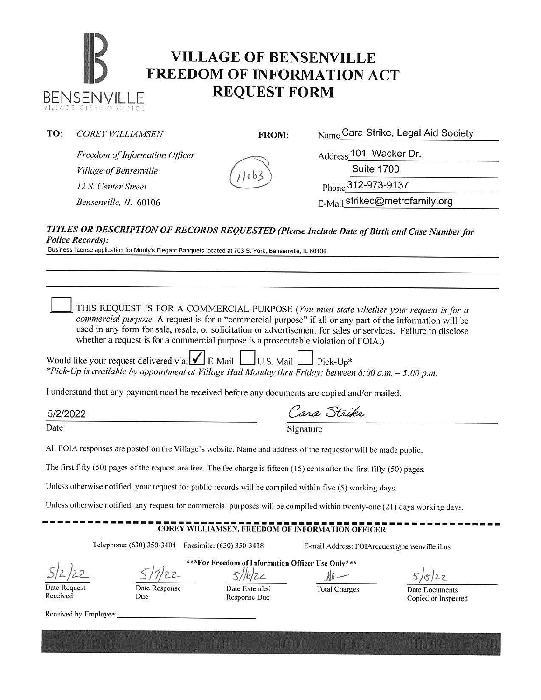# **IB VILLAGE OF BENSENVILLE**<br> **FREEDOM OF INFORMATION ACT** BENSENVILLE **REQUEST FORM**

## **TO:** *COREY WILLIAMSEN*

**FROM:** Name Cara Strike, Legal Aid Society

*Freedom of Information Officer Village of Bensenville 12 S. Center Street* Phone 312-973-9137

Address 101 Wacker Dr.,

Suite 1700

*Bensenville, IL* 60106 **E-Mail strikec@metrofamily.org** 

#### *TITLES OR DESCRIPTION OF RECORDS REQUESTED (Please /11clude Date of Birth and Case Number for Police Records):*

 $00$ 

Business license application for Monty's Elegant Banquets located at 703 S. York, Bensenville, IL 60106

THIS REQUEST IS FOR A COMMERCIAL PURPOSE (You must state whether your request is for a *commercial pwpose.* A request is for a "commercial purpose" if all or any part of the information will be used in any form for sale, resale, or solicitation or advertisement for sales or services. Failure to disclose whether a request is for a commercial purpose is a prosecutable violation of FOIA.)

Would like your request delivered via:  $\blacksquare$  E-Mail  $\blacksquare$  U.S. Mail  $\blacksquare$  Pick-Up\* *\*Pick-Up is available by appointment at Village Hall Monday thru Friday; between 8:00 a.m.* - *5:00 p.m.* 

I understand that any payment need be received before any documents are copied and/or mailed.

5/2/2022

| $\iota$ | $1.01$ $P$ |
|---------|------------|
|         |            |

Date Signature

All FOIA responses are posted on the Village's website. Name and address of the requestor will be made public.

The first fifty (50) pages of the request are free. The fee charge is fifteen ( 15) cents after the first fifty (50) pages.

Unless otherwise notified, your request for public records will be compiled within five (5) working days.

Unless otherwise notified, any request for commercial purposes will be compiled within twenty-one (2 1) days working days.

## **COREY WILLIAMSEN, FREEDOM OF INFORMATION OFFICER**

Telephone: (630) 350-3404 Facsimile: (630) 350-3438 E-mail Address: F01Arcqucst@bensenville.il.us

\*\*\*For Freedom of Information Officer Use Only\*\*\*

s//b/zz **b**i-

Date Request Received

Date Response Due

Response Due

Date Extended Total Charges

 $5/22$ 

Date Documents Copied or Inspected

Received by Employee: